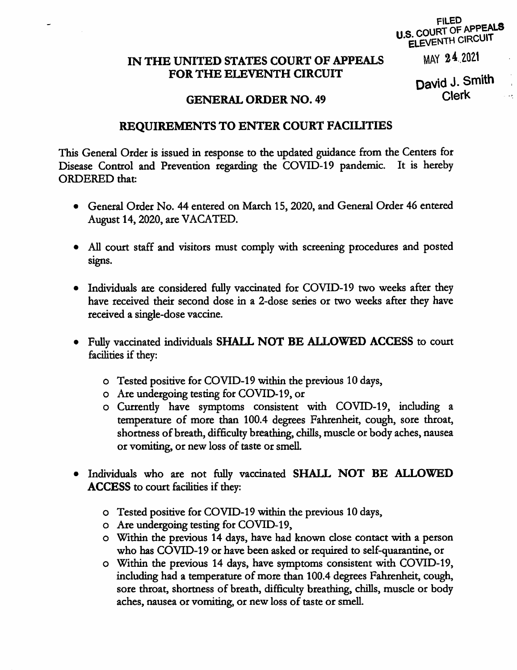## **FILED** U.S. COURT OF APPEALS ELEVENTH CIRCUIT

## IN THE UNITED STATES COURT OF APPEALS FOR THE ELEVENTH CIRCUIT

MAY 24 2021

David J. Smith **Clerk** 

## **GENERAL ORDER NO. 49**

## **REQUIREMENTS TO ENTER COURT FACILITIES**

This General Order is issued in response to the updated guidance from the Centers for Disease Control and Prevention regarding the COVID-19 pandemic. It is hereby **ORDERED** that:

- General Order No. 44 entered on March 15, 2020, and General Order 46 entered August 14, 2020, are VACATED.
- All court staff and visitors must comply with screening procedures and posted signs.
- · Individuals are considered fully vaccinated for COVID-19 two weeks after they have received their second dose in a 2-dose series or two weeks after they have received a single-dose vaccine.
- Fully vaccinated individuals SHALL NOT BE ALLOWED ACCESS to court facilities if they:
	- o Tested positive for COVID-19 within the previous 10 days,
	- o Are undergoing testing for COVID-19, or
	- o Currently have symptoms consistent with COVID-19, including a temperature of more than 100.4 degrees Fahrenheit, cough, sore throat, shortness of breath, difficulty breathing, chills, muscle or body aches, nausea or vomiting, or new loss of taste or smell.
- . Individuals who are not fully vaccinated SHALL NOT BE ALLOWED **ACCESS** to court facilities if they:
	- o Tested positive for COVID-19 within the previous 10 days,
	- o Are undergoing testing for COVID-19,
	- o Within the previous 14 days, have had known close contact with a person who has COVID-19 or have been asked or required to self-quarantine, or
	- o Within the previous 14 days, have symptoms consistent with COVID-19, including had a temperature of more than 100.4 degrees Fahrenheit, cough, sore throat, shortness of breath, difficulty breathing, chills, muscle or body aches, nausea or vomiting, or new loss of taste or smell.